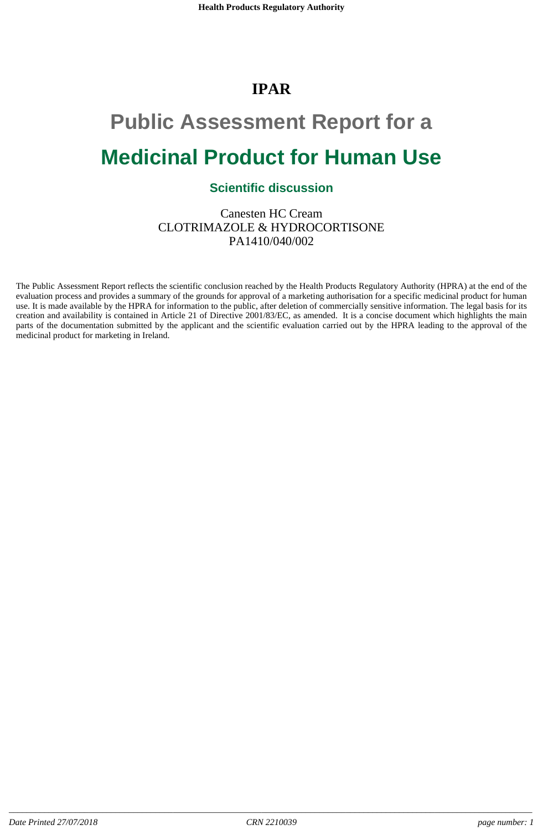# **IPAR**

# **Public Assessment Report for a Medicinal Product for Human Use**

# **Scientific discussion**

Canesten HC Cream CLOTRIMAZOLE & HYDROCORTISONE PA1410/040/002

The Public Assessment Report reflects the scientific conclusion reached by the Health Products Regulatory Authority (HPRA) at the end of the evaluation process and provides a summary of the grounds for approval of a marketing authorisation for a specific medicinal product for human use. It is made available by the HPRA for information to the public, after deletion of commercially sensitive information. The legal basis for its creation and availability is contained in Article 21 of Directive 2001/83/EC, as amended. It is a concise document which highlights the main parts of the documentation submitted by the applicant and the scientific evaluation carried out by the HPRA leading to the approval of the medicinal product for marketing in Ireland.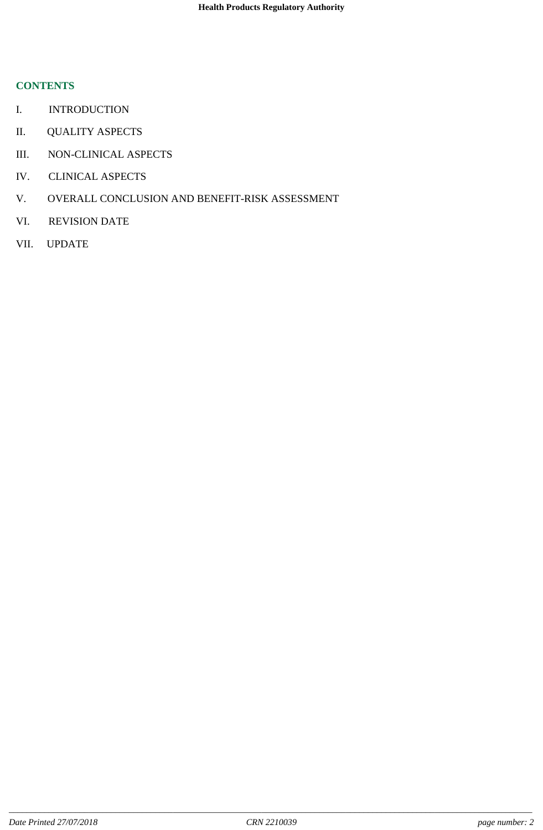## **CONTENTS**

- I. INTRODUCTION
- II. QUALITY ASPECTS
- III. NON-CLINICAL ASPECTS
- IV. CLINICAL ASPECTS
- V. OVERALL CONCLUSION AND BENEFIT-RISK ASSESSMENT
- VI. REVISION DATE
- VII. UPDATE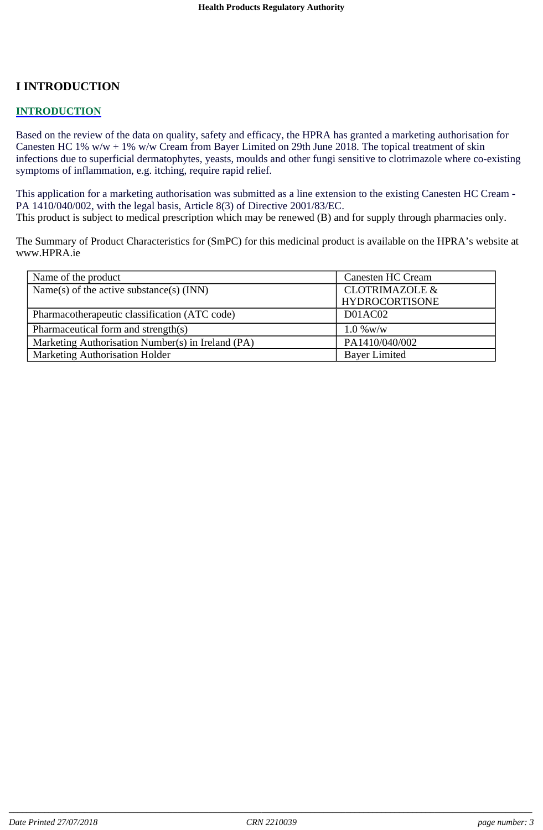# **I INTRODUCTION**

#### **INTRODUCTION**

Based on the review of the data on quality, safety and efficacy, the HPRA has granted a marketing authorisation for Canesten HC 1%  $w/w + 1\% w/w$  Cream from Bayer Limited on 29th June 2018. The topical treatment of skin infections due to superficial dermatophytes, yeasts, moulds and other fungi sensitive to clotrimazole where co-existing symptoms of inflammation, e.g. itching, require rapid relief.

This application for a marketing authorisation was submitted as a line extension to the existing Canesten HC Cream - PA 1410/040/002, with the legal basis, Article 8(3) of Directive 2001/83/EC.

This product is subject to medical prescription which may be renewed (B) and for supply through pharmacies only.

The Summary of Product Characteristics for (SmPC) for this medicinal product is available on the HPRA's website at www.HPRA.ie

| Name of the product                               | Canesten HC Cream         |  |
|---------------------------------------------------|---------------------------|--|
| Name(s) of the active substance(s) $(INN)$        | <b>CLOTRIMAZOLE &amp;</b> |  |
|                                                   | <b>HYDROCORTISONE</b>     |  |
| Pharmacotherapeutic classification (ATC code)     | D01AC02                   |  |
| Pharmaceutical form and strength(s)               | $1.0\%$ w/w               |  |
| Marketing Authorisation Number(s) in Ireland (PA) | PA1410/040/002            |  |
| Marketing Authorisation Holder                    | <b>Bayer Limited</b>      |  |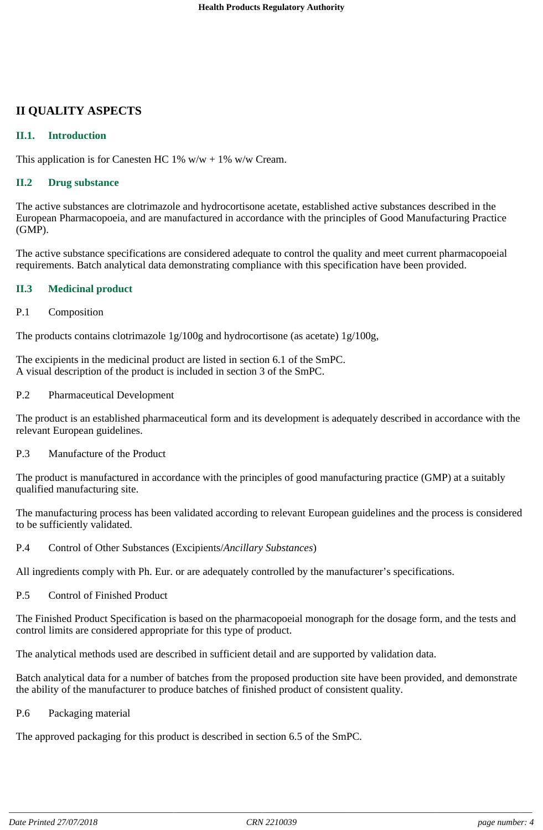# **II QUALITY ASPECTS**

#### **II.1. Introduction**

This application is for Canesten HC 1%  $w/w + 1\% w/w$  Cream.

#### **II.2 Drug substance**

The active substances are clotrimazole and hydrocortisone acetate, established active substances described in the European Pharmacopoeia, and are manufactured in accordance with the principles of Good Manufacturing Practice (GMP).

The active substance specifications are considered adequate to control the quality and meet current pharmacopoeial requirements. Batch analytical data demonstrating compliance with this specification have been provided.

#### **II.3 Medicinal product**

P.1 Composition

The products contains clotrimazole 1g/100g and hydrocortisone (as acetate) 1g/100g,

The excipients in the medicinal product are listed in section 6.1 of the SmPC. A visual description of the product is included in section 3 of the SmPC.

P.2 Pharmaceutical Development

The product is an established pharmaceutical form and its development is adequately described in accordance with the relevant European guidelines.

P.3 Manufacture of the Product

The product is manufactured in accordance with the principles of good manufacturing practice (GMP) at a suitably qualified manufacturing site.

The manufacturing process has been validated according to relevant European guidelines and the process is considered to be sufficiently validated.

P.4 Control of Other Substances (Excipients/*Ancillary Substances*)

All ingredients comply with Ph. Eur. or are adequately controlled by the manufacturer's specifications.

P.5 Control of Finished Product

The Finished Product Specification is based on the pharmacopoeial monograph for the dosage form, and the tests and control limits are considered appropriate for this type of product.

The analytical methods used are described in sufficient detail and are supported by validation data.

Batch analytical data for a number of batches from the proposed production site have been provided, and demonstrate the ability of the manufacturer to produce batches of finished product of consistent quality.

P.6 Packaging material

The approved packaging for this product is described in section 6.5 of the SmPC.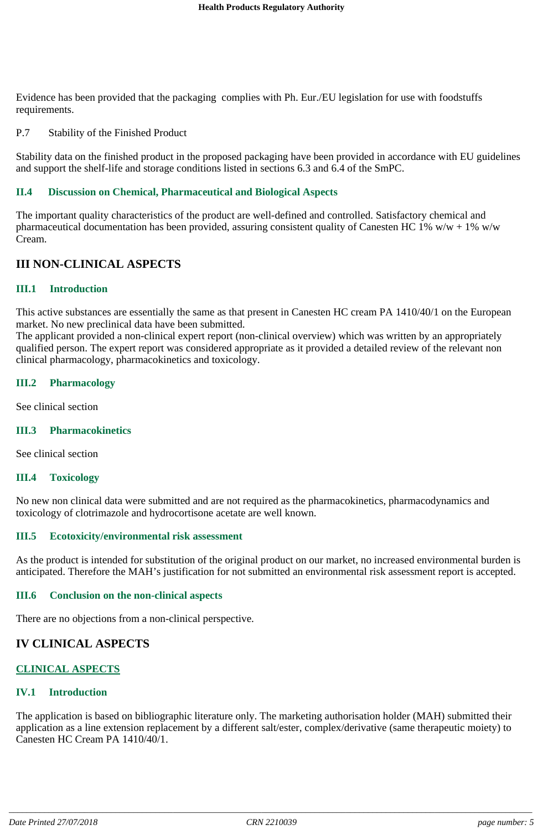Evidence has been provided that the packaging complies with Ph. Eur./EU legislation for use with foodstuffs requirements.

P.7 Stability of the Finished Product

Stability data on the finished product in the proposed packaging have been provided in accordance with EU guidelines and support the shelf-life and storage conditions listed in sections 6.3 and 6.4 of the SmPC.

#### **II.4 Discussion on Chemical, Pharmaceutical and Biological Aspects**

The important quality characteristics of the product are well-defined and controlled. Satisfactory chemical and pharmaceutical documentation has been provided, assuring consistent quality of Canesten HC 1% w/w + 1% w/w Cream.

#### **III NON-CLINICAL ASPECTS**

#### **III.1 Introduction**

This active substances are essentially the same as that present in Canesten HC cream PA 1410/40/1 on the European market. No new preclinical data have been submitted.

The applicant provided a non-clinical expert report (non-clinical overview) which was written by an appropriately qualified person. The expert report was considered appropriate as it provided a detailed review of the relevant non clinical pharmacology, pharmacokinetics and toxicology.

#### **III.2 Pharmacology**

See clinical section

#### **III.3 Pharmacokinetics**

See clinical section

#### **III.4 Toxicology**

No new non clinical data were submitted and are not required as the pharmacokinetics, pharmacodynamics and toxicology of clotrimazole and hydrocortisone acetate are well known.

#### **III.5 Ecotoxicity/environmental risk assessment**

As the product is intended for substitution of the original product on our market, no increased environmental burden is anticipated. Therefore the MAH's justification for not submitted an environmental risk assessment report is accepted.

#### **III.6 Conclusion on the non-clinical aspects**

There are no objections from a non-clinical perspective.

#### **IV CLINICAL ASPECTS**

#### **CLINICAL ASPECTS**

#### **IV.1 Introduction**

The application is based on bibliographic literature only. The marketing authorisation holder (MAH) submitted their application as a line extension replacement by a different salt/ester, complex/derivative (same therapeutic moiety) to Canesten HC Cream PA 1410/40/1.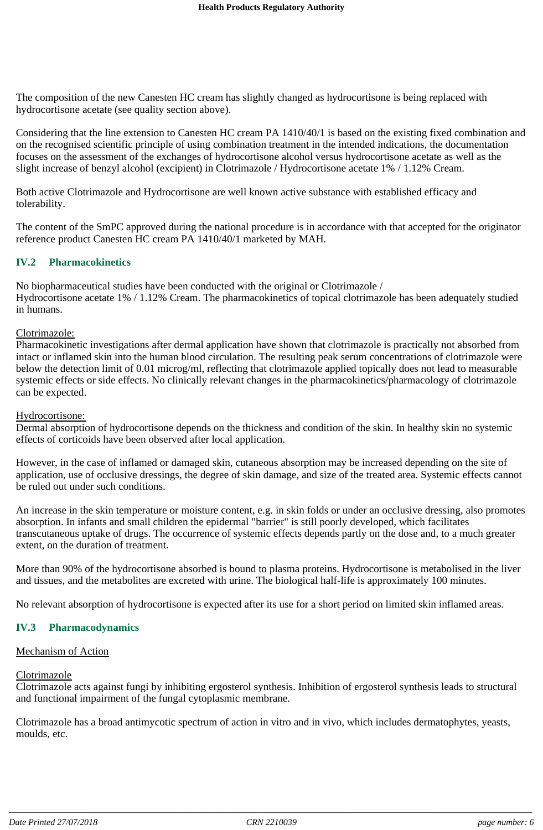The composition of the new Canesten HC cream has slightly changed as hydrocortisone is being replaced with hydrocortisone acetate (see quality section above).

Considering that the line extension to Canesten HC cream PA 1410/40/1 is based on the existing fixed combination and on the recognised scientific principle of using combination treatment in the intended indications, the documentation focuses on the assessment of the exchanges of hydrocortisone alcohol versus hydrocortisone acetate as well as the slight increase of benzyl alcohol (excipient) in Clotrimazole / Hydrocortisone acetate 1% / 1.12% Cream.

Both active Clotrimazole and Hydrocortisone are well known active substance with established efficacy and tolerability.

The content of the SmPC approved during the national procedure is in accordance with that accepted for the originator reference product Canesten HC cream PA 1410/40/1 marketed by MAH.

#### **IV.2 Pharmacokinetics**

No biopharmaceutical studies have been conducted with the original or Clotrimazole / Hydrocortisone acetate 1% / 1.12% Cream. The pharmacokinetics of topical clotrimazole has been adequately studied in humans.

#### Clotrimazole:

Pharmacokinetic investigations after dermal application have shown that clotrimazole is practically not absorbed from intact or inflamed skin into the human blood circulation. The resulting peak serum concentrations of clotrimazole were below the detection limit of 0.01 microg/ml, reflecting that clotrimazole applied topically does not lead to measurable systemic effects or side effects. No clinically relevant changes in the pharmacokinetics/pharmacology of clotrimazole can be expected.

#### Hydrocortisone:

Dermal absorption of hydrocortisone depends on the thickness and condition of the skin. In healthy skin no systemic effects of corticoids have been observed after local application.

However, in the case of inflamed or damaged skin, cutaneous absorption may be increased depending on the site of application, use of occlusive dressings, the degree of skin damage, and size of the treated area. Systemic effects cannot be ruled out under such conditions.

An increase in the skin temperature or moisture content, e.g. in skin folds or under an occlusive dressing, also promotes absorption. In infants and small children the epidermal "barrier" is still poorly developed, which facilitates transcutaneous uptake of drugs. The occurrence of systemic effects depends partly on the dose and, to a much greater extent, on the duration of treatment.

More than 90% of the hydrocortisone absorbed is bound to plasma proteins. Hydrocortisone is metabolised in the liver and tissues, and the metabolites are excreted with urine. The biological half-life is approximately 100 minutes.

No relevant absorption of hydrocortisone is expected after its use for a short period on limited skin inflamed areas.

#### **IV.3 Pharmacodynamics**

#### Mechanism of Action

#### Clotrimazole

Clotrimazole acts against fungi by inhibiting ergosterol synthesis. Inhibition of ergosterol synthesis leads to structural and functional impairment of the fungal cytoplasmic membrane.

Clotrimazole has a broad antimycotic spectrum of action in vitro and in vivo, which includes dermatophytes, yeasts, moulds, etc.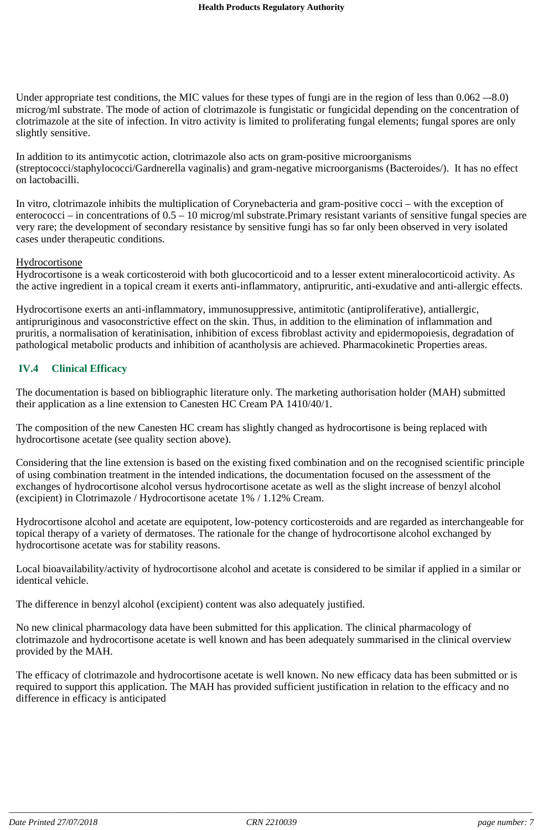Under appropriate test conditions, the MIC values for these types of fungi are in the region of less than  $0.062 - 8.0$ ) microg/ml substrate. The mode of action of clotrimazole is fungistatic or fungicidal depending on the concentration of clotrimazole at the site of infection. In vitro activity is limited to proliferating fungal elements; fungal spores are only slightly sensitive.

In addition to its antimycotic action, clotrimazole also acts on gram-positive microorganisms (streptococci/staphylococci/Gardnerella vaginalis) and gram-negative microorganisms (Bacteroides/). It has no effect on lactobacilli.

In vitro, clotrimazole inhibits the multiplication of Corynebacteria and gram-positive cocci – with the exception of enterococci – in concentrations of 0.5 – 10 microg/ml substrate.Primary resistant variants of sensitive fungal species are very rare; the development of secondary resistance by sensitive fungi has so far only been observed in very isolated cases under therapeutic conditions.

#### **Hydrocortisone**

Hydrocortisone is a weak corticosteroid with both glucocorticoid and to a lesser extent mineralocorticoid activity. As the active ingredient in a topical cream it exerts anti-inflammatory, antipruritic, anti-exudative and anti-allergic effects.

Hydrocortisone exerts an anti-inflammatory, immunosuppressive, antimitotic (antiproliferative), antiallergic, antipruriginous and vasoconstrictive effect on the skin. Thus, in addition to the elimination of inflammation and pruritis, a normalisation of keratinisation, inhibition of excess fibroblast activity and epidermopoiesis, degradation of pathological metabolic products and inhibition of acantholysis are achieved. Pharmacokinetic Properties areas.

#### **IV.4 Clinical Efficacy**

The documentation is based on bibliographic literature only. The marketing authorisation holder (MAH) submitted their application as a line extension to Canesten HC Cream PA 1410/40/1.

The composition of the new Canesten HC cream has slightly changed as hydrocortisone is being replaced with hydrocortisone acetate (see quality section above).

Considering that the line extension is based on the existing fixed combination and on the recognised scientific principle of using combination treatment in the intended indications, the documentation focused on the assessment of the exchanges of hydrocortisone alcohol versus hydrocortisone acetate as well as the slight increase of benzyl alcohol (excipient) in Clotrimazole / Hydrocortisone acetate 1% / 1.12% Cream.

Hydrocortisone alcohol and acetate are equipotent, low-potency corticosteroids and are regarded as interchangeable for topical therapy of a variety of dermatoses. The rationale for the change of hydrocortisone alcohol exchanged by hydrocortisone acetate was for stability reasons.

Local bioavailability/activity of hydrocortisone alcohol and acetate is considered to be similar if applied in a similar or identical vehicle.

The difference in benzyl alcohol (excipient) content was also adequately justified.

No new clinical pharmacology data have been submitted for this application. The clinical pharmacology of clotrimazole and hydrocortisone acetate is well known and has been adequately summarised in the clinical overview provided by the MAH.

The efficacy of clotrimazole and hydrocortisone acetate is well known. No new efficacy data has been submitted or is required to support this application. The MAH has provided sufficient justification in relation to the efficacy and no difference in efficacy is anticipated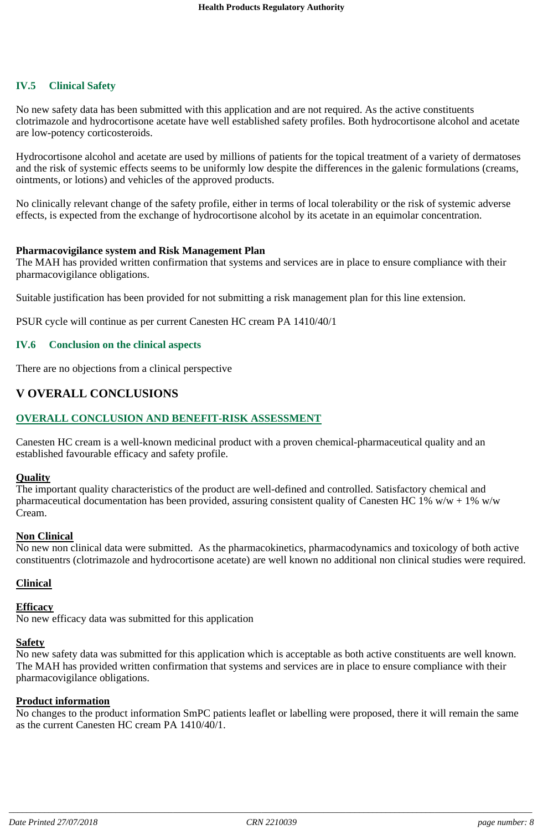#### **IV.5 Clinical Safety**

No new safety data has been submitted with this application and are not required. As the active constituents clotrimazole and hydrocortisone acetate have well established safety profiles. Both hydrocortisone alcohol and acetate are low-potency corticosteroids.

Hydrocortisone alcohol and acetate are used by millions of patients for the topical treatment of a variety of dermatoses and the risk of systemic effects seems to be uniformly low despite the differences in the galenic formulations (creams, ointments, or lotions) and vehicles of the approved products.

No clinically relevant change of the safety profile, either in terms of local tolerability or the risk of systemic adverse effects, is expected from the exchange of hydrocortisone alcohol by its acetate in an equimolar concentration.

#### **Pharmacovigilance system and Risk Management Plan**

The MAH has provided written confirmation that systems and services are in place to ensure compliance with their pharmacovigilance obligations.

Suitable justification has been provided for not submitting a risk management plan for this line extension.

PSUR cycle will continue as per current Canesten HC cream PA 1410/40/1

#### **IV.6 Conclusion on the clinical aspects**

There are no objections from a clinical perspective

#### **V OVERALL CONCLUSIONS**

#### **OVERALL CONCLUSION AND BENEFIT-RISK ASSESSMENT**

Canesten HC cream is a well-known medicinal product with a proven chemical-pharmaceutical quality and an established favourable efficacy and safety profile.

#### **Quality**

The important quality characteristics of the product are well-defined and controlled. Satisfactory chemical and pharmaceutical documentation has been provided, assuring consistent quality of Canesten HC 1% w/w + 1% w/w Cream.

#### **Non Clinical**

No new non clinical data were submitted. As the pharmacokinetics, pharmacodynamics and toxicology of both active constituentrs (clotrimazole and hydrocortisone acetate) are well known no additional non clinical studies were required.

#### **Clinical**

#### **Efficacy**

No new efficacy data was submitted for this application

#### **Safety**

No new safety data was submitted for this application which is acceptable as both active constituents are well known. The MAH has provided written confirmation that systems and services are in place to ensure compliance with their pharmacovigilance obligations.

#### **Product information**

No changes to the product information SmPC patients leaflet or labelling were proposed, there it will remain the same as the current Canesten HC cream PA 1410/40/1.